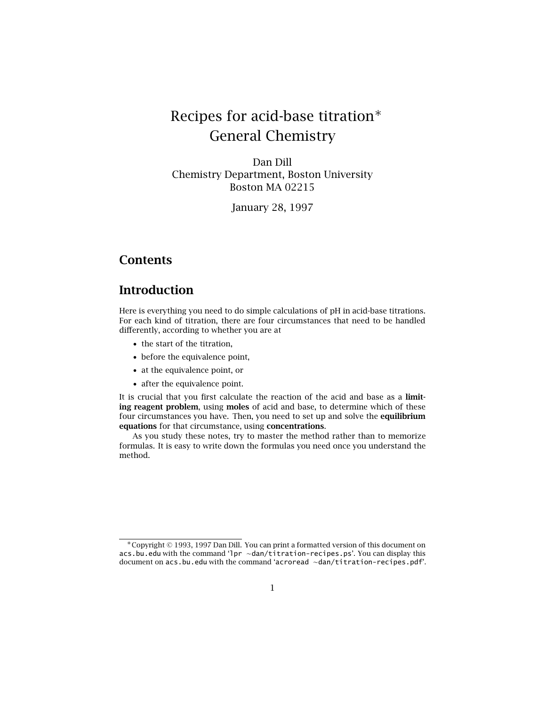# Recipes for acid-base titration∗ General Chemistry

Dan Dill Chemistry Department, Boston University Boston MA 02215

January 28, 1997

## **Contents**

## **Introduction**

Here is everything you need to do simple calculations of pH in acid-base titrations. For each kind of titration, there are four circumstances that need to be handled differently, according to whether you are at

- the start of the titration,
- before the equivalence point,
- at the equivalence point, or
- after the equivalence point.

It is crucial that you first calculate the reaction of the acid and base as a **limiting reagent problem**, using **moles** of acid and base, to determine which of these four circumstances you have. Then, you need to set up and solve the **equilibrium equations** for that circumstance, using **concentrations**.

As you study these notes, try to master the method rather than to memorize formulas. It is easy to write down the formulas you need once you understand the method.

<sup>∗</sup>Copyright © 1993, 1997 Dan Dill. You can print a formatted version of this document on acs.bu.edu with the command 'lpr ∼dan/titration-recipes.ps'. You can display this document on acs.bu.edu with the command 'acroread ∼dan/titration-recipes.pdf'.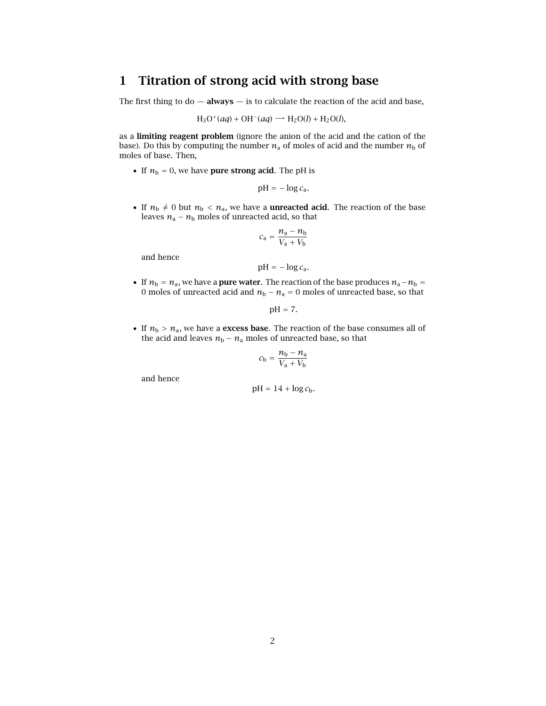# **1 Titration of strong acid with strong base**

The first thing to  $do - **always** - **is**$  to calculate the reaction of the acid and base,

$$
H_3O^+(aq) + OH^-(aq) \longrightarrow H_2O(l) + H_2O(l),
$$

as a **limiting reagent problem** (ignore the anion of the acid and the cation of the base). Do this by computing the number  $n_a$  of moles of acid and the number  $n_b$  of moles of base. Then,

• If  $n_b = 0$ , we have **pure strong acid**. The pH is

$$
pH = -\log c_a.
$$

• If  $n_b \neq 0$  but  $n_b < n_a$ , we have a **unreacted acid**. The reaction of the base leaves  $n_a - n_b$  moles of unreacted acid, so that

$$
c_{a} = \frac{n_{a} - n_{b}}{V_{a} + V_{b}}
$$

and hence

$$
pH = -\log c_a.
$$

• If  $n_b = n_a$ , we have a **pure water**. The reaction of the base produces  $n_a - n_b =$ 0 moles of unreacted acid and  $n_b - n_a = 0$  moles of unreacted base, so that

$$
pH = 7.
$$

• If  $n_b > n_a$ , we have a **excess base**. The reaction of the base consumes all of the acid and leaves  $n_b - n_a$  moles of unreacted base, so that

$$
c_{\rm b} = \frac{n_{\rm b} - n_{\rm a}}{V_{\rm a} + V_{\rm b}}
$$

and hence

$$
pH = 14 + \log c_b.
$$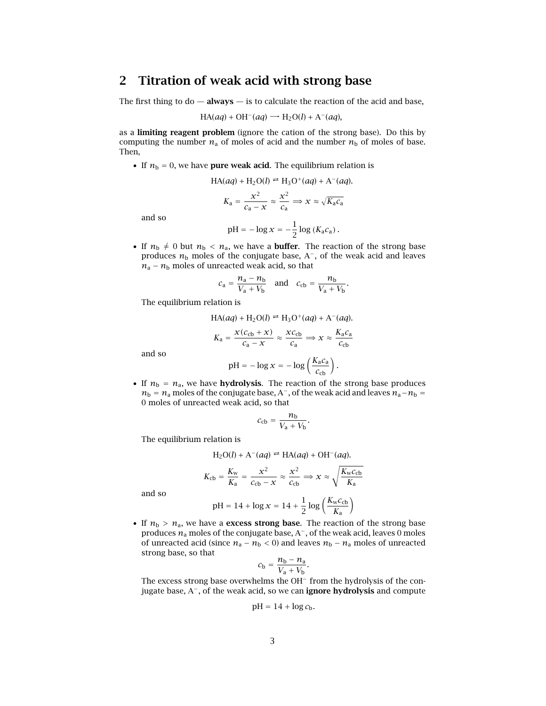## **2 Titration of weak acid with strong base**

The first thing to  $do - **always** - **is**$  to calculate the reaction of the acid and base,

$$
HA(aq) + OH^{-}(aq) \longrightarrow H_{2}O(l) + A^{-}(aq),
$$

as a **limiting reagent problem** (ignore the cation of the strong base). Do this by computing the number  $n_a$  of moles of acid and the number  $n_b$  of moles of base. Then,

• If  $n_b = 0$ , we have **pure weak acid**. The equilibrium relation is

$$
HA(aq) + H_2O(l) \rightleftharpoons H_3O^+(aq) + A^-(aq).
$$

$$
K_a = \frac{x^2}{c_a - x} \approx \frac{x^2}{c_a} \Rightarrow x \approx \sqrt{K_a c_a}
$$

and so

$$
pH = -\log x = -\frac{1}{2}\log(K_a c_a).
$$

• If  $n_{\rm b} \neq 0$  but  $n_{\rm b} < n_{\rm a}$ , we have a **buffer**. The reaction of the strong base produces *n*<sup>b</sup> moles of the conjugate base, A−, of the weak acid and leaves  $n_a - n_b$  moles of unreacted weak acid, so that

$$
c_{\rm a} = \frac{n_{\rm a} - n_{\rm b}}{V_{\rm a} + V_{\rm b}} \quad \text{and} \quad c_{\rm cb} = \frac{n_{\rm b}}{V_{\rm a} + V_{\rm b}}.
$$

The equilibrium relation is

$$
\text{HA}(aq) + \text{H}_2\text{O}(l) \rightleftharpoons \text{H}_3\text{O}^+(aq) + \text{A}^-(aq).
$$
\n
$$
K_a = \frac{x(c_{\text{cb}} + x)}{c_a - x} \approx \frac{xc_{\text{cb}}}{c_a} \Rightarrow x \approx \frac{K_a c_a}{c_{\text{cb}}}
$$

and so

$$
pH = -\log x = -\log\left(\frac{K_a c_a}{c_{cb}}\right).
$$

• If  $n_b = n_a$ , we have **hydrolysis**. The reaction of the strong base produces  $n_b = n_a$  moles of the conjugate base, A<sup>-</sup>, of the weak acid and leaves  $n_a - n_b =$ 0 moles of unreacted weak acid, so that

$$
c_{\rm cb} = \frac{n_{\rm b}}{V_{\rm a} + V_{\rm b}}
$$

*.*

The equilibrium relation is

$$
H_2O(l) + A^-(aq) \rightleftharpoons HA(aq) + OH^-(aq).
$$

$$
K_{\rm cb} = \frac{K_{\rm w}}{K_{\rm a}} = \frac{x^2}{c_{\rm cb} - x} \approx \frac{x^2}{c_{\rm cb}} \Rightarrow x \approx \sqrt{\frac{K_{\rm w} c_{\rm cb}}{K_{\rm a}}}
$$

and so

$$
pH = 14 + \log x = 14 + \frac{1}{2} \log \left( \frac{K_{w} c_{cb}}{K_{a}} \right)
$$

• If  $n_b > n_a$ , we have a **excess strong base**. The reaction of the strong base produces *n*<sup>a</sup> moles of the conjugate base, A−, of the weak acid, leaves 0 moles of unreacted acid (since  $n_a - n_b < 0$ ) and leaves  $n_b - n_a$  moles of unreacted strong base, so that

$$
c_{\rm b}=\frac{n_{\rm b}-n_{\rm a}}{V_{\rm a}+V_{\rm b}}.
$$

The excess strong base overwhelms the OH− from the hydrolysis of the conjugate base, A−, of the weak acid, so we can **ignore hydrolysis** and compute

$$
pH = 14 + \log c_b.
$$